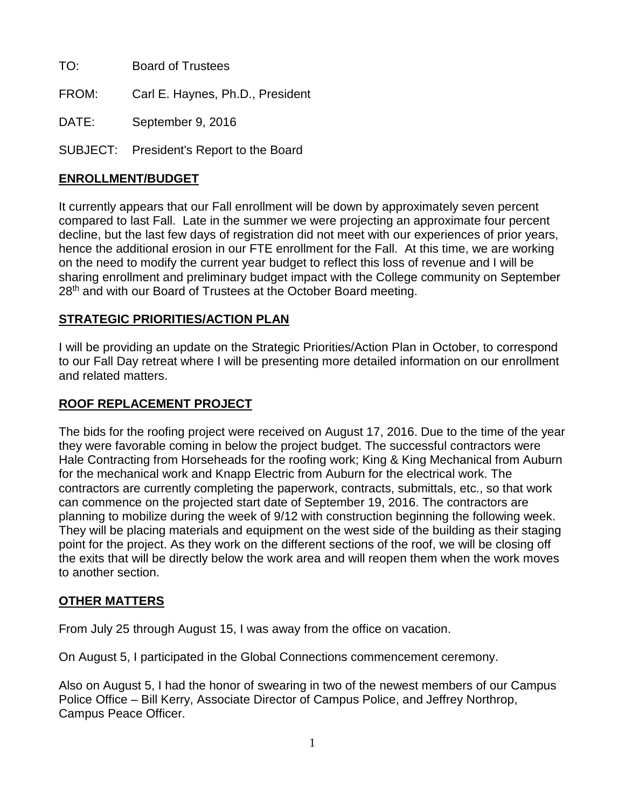TO: Board of Trustees

FROM: Carl E. Haynes, Ph.D., President

DATE: September 9, 2016

SUBJECT: President's Report to the Board

## **ENROLLMENT/BUDGET**

It currently appears that our Fall enrollment will be down by approximately seven percent compared to last Fall. Late in the summer we were projecting an approximate four percent decline, but the last few days of registration did not meet with our experiences of prior years, hence the additional erosion in our FTE enrollment for the Fall. At this time, we are working on the need to modify the current year budget to reflect this loss of revenue and I will be sharing enrollment and preliminary budget impact with the College community on September 28<sup>th</sup> and with our Board of Trustees at the October Board meeting.

## **STRATEGIC PRIORITIES/ACTION PLAN**

I will be providing an update on the Strategic Priorities/Action Plan in October, to correspond to our Fall Day retreat where I will be presenting more detailed information on our enrollment and related matters.

## **ROOF REPLACEMENT PROJECT**

The bids for the roofing project were received on August 17, 2016. Due to the time of the year they were favorable coming in below the project budget. The successful contractors were Hale Contracting from Horseheads for the roofing work; King & King Mechanical from Auburn for the mechanical work and Knapp Electric from Auburn for the electrical work. The contractors are currently completing the paperwork, contracts, submittals, etc., so that work can commence on the projected start date of September 19, 2016. The contractors are planning to mobilize during the week of 9/12 with construction beginning the following week. They will be placing materials and equipment on the west side of the building as their staging point for the project. As they work on the different sections of the roof, we will be closing off the exits that will be directly below the work area and will reopen them when the work moves to another section.

## **OTHER MATTERS**

From July 25 through August 15, I was away from the office on vacation.

On August 5, I participated in the Global Connections commencement ceremony.

Also on August 5, I had the honor of swearing in two of the newest members of our Campus Police Office – Bill Kerry, Associate Director of Campus Police, and Jeffrey Northrop, Campus Peace Officer.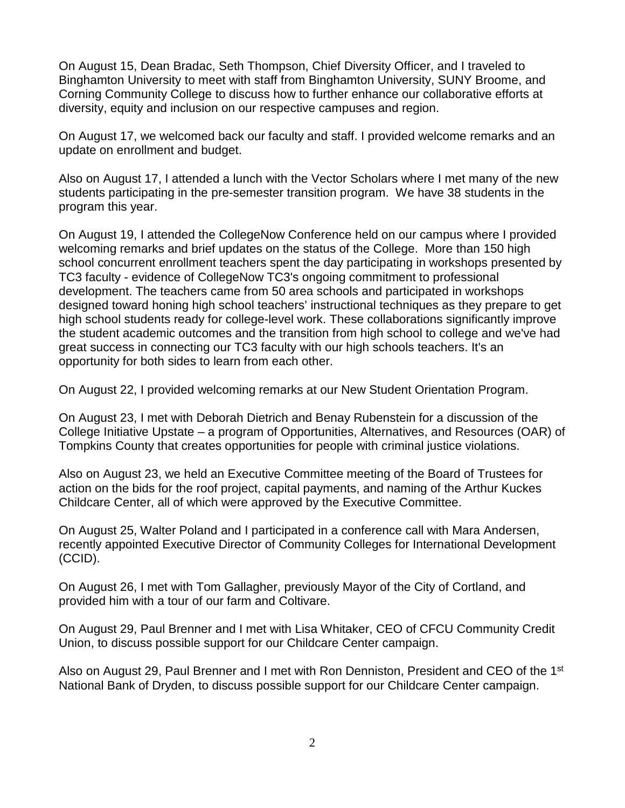On August 15, Dean Bradac, Seth Thompson, Chief Diversity Officer, and I traveled to Binghamton University to meet with staff from Binghamton University, SUNY Broome, and Corning Community College to discuss how to further enhance our collaborative efforts at diversity, equity and inclusion on our respective campuses and region.

On August 17, we welcomed back our faculty and staff. I provided welcome remarks and an update on enrollment and budget.

Also on August 17, I attended a lunch with the Vector Scholars where I met many of the new students participating in the pre-semester transition program. We have 38 students in the program this year.

On August 19, I attended the CollegeNow Conference held on our campus where I provided welcoming remarks and brief updates on the status of the College. More than 150 high school concurrent enrollment teachers spent the day participating in workshops presented by TC3 faculty - evidence of CollegeNow TC3's ongoing commitment to professional development. The teachers came from 50 area schools and participated in workshops designed toward honing high school teachers' instructional techniques as they prepare to get high school students ready for college-level work. These collaborations significantly improve the student academic outcomes and the transition from high school to college and we've had great success in connecting our TC3 faculty with our high schools teachers. It's an opportunity for both sides to learn from each other.

On August 22, I provided welcoming remarks at our New Student Orientation Program.

On August 23, I met with Deborah Dietrich and Benay Rubenstein for a discussion of the College Initiative Upstate – a program of Opportunities, Alternatives, and Resources (OAR) of Tompkins County that creates opportunities for people with criminal justice violations.

Also on August 23, we held an Executive Committee meeting of the Board of Trustees for action on the bids for the roof project, capital payments, and naming of the Arthur Kuckes Childcare Center, all of which were approved by the Executive Committee.

On August 25, Walter Poland and I participated in a conference call with Mara Andersen, recently appointed Executive Director of Community Colleges for International Development (CCID).

On August 26, I met with Tom Gallagher, previously Mayor of the City of Cortland, and provided him with a tour of our farm and Coltivare.

On August 29, Paul Brenner and I met with Lisa Whitaker, CEO of CFCU Community Credit Union, to discuss possible support for our Childcare Center campaign.

Also on August 29, Paul Brenner and I met with Ron Denniston, President and CEO of the 1<sup>st</sup> National Bank of Dryden, to discuss possible support for our Childcare Center campaign.